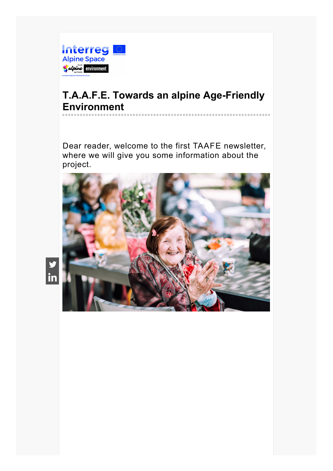

# **T.A.A.F.E. Towards an alpine Age-Friendly Environment** ------------------------------------

Dear reader, welcome to the first TAAFE newsletter, where we will give you some information about the project.



in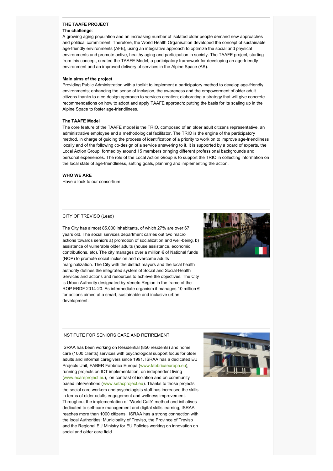#### **THE TAAFE PROJECT The challenge**:

A growing aging population and an increasing number of isolated older people demand new approaches and political commitment. Therefore, the World Health Organisation developed the concept of sustainable age-friendly environments (AFE), using an integrative approach to optimize the social and physical environments and promote active, healthy aging and participation in society. The TAAFE project, starting from this concept, created the TAAFE Model, a participatory framework for developing an age-friendly environment and an improved delivery of services in the Alpine Space (AS).

#### **Main aims of the project**

Providing Public Administration with a toolkit to implement a participatory method to develop age-friendly environments; enhancing the sense of inclusion, the awareness and the empowerment of older adult citizens thanks to a co-design approach to services creation; elaborating a strategy that will give concrete recommendations on how to adopt and apply TAAFE approach; putting the basis for its scaling up in the Alpine Space to foster age-friendliness.

## **The TAAFE Model**

The core feature of the TAAFE model is the TRIO, composed of an older adult citizens representative, an administrative employee and a methodological facilitator. The TRIO is the engine of the participatory method, in charge of guiding the process of identification of a priority to work on to improve age-friendliness locally and of the following co-design of a service answering to it. It is supported by a board of experts, the Local Action Group, formed by around 15 members bringing different professional backgrounds and personal experiences. The role of the Local Action Group is to support the TRIO in collecting information on the local state of age-friendliness, setting goals, planning and implementing the action.

#### **WHO WE ARE**

Have a look to our consortium

## CITY OF TREVISO (Lead)

The City has almost 85.000 inhabitants, of which 27% are over 67 years old. The social services department carries out two macro actions towards seniors a) promotion of socialization and well-being, b) assistance of vulnerable older adults (house assistance, economic contributions, etc). The city manages over a million € of National funds (NOP) to promote social inclusion and overcome adults marginalization. The City with the district mayors and the local health authority defines the integrated system of Social and Social-Health Services and actions and resources to achieve the objectives. The City is Urban Authority designated by Veneto Region in the frame of the ROP ERDF 2014-20. As intermediate organism it manages 10 million € for actions aimed at a smart, sustainable and inclusive urban development.



#### INSTITUTE FOR SENIORS CARE AND RETIREMENT

ISRAA has been working on Residential (850 residents) and home care (1000 clients) services with psychological support focus for older adults and informal caregivers since 1991. ISRAA has a dedicated EU Projects Unit, FABER Fabbrica Europa [\(www.fabbricaeuropa.eu](http://www.fabbricaeuropa.eu/)), running projects on ICT implementation, on independent living [\(www.ecareproject.eu](http://www.ecareproject.eu/)), on contrast of isolation and on community based interventions.[\(www.sefacproject.eu](http://www.sefacproject.eu/)). Thanks to those projects the social care workers and psychologists staff has increased the skills in terms of older adults engagement and wellness improvement. Throughout the implementation of "World Cafè" method and initiatives dedicated to self-care management and digital skills learning, ISRAA reaches more than 1000 citizens. ISRAA has a strong connection with the local Authorities: Municipality of Treviso, the Province of Treviso and the Regional EU Ministry for EU Policies working on innovation on social and older care field.

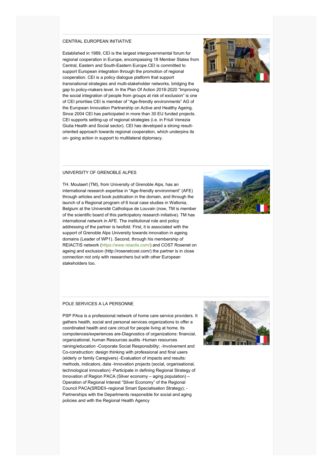# CENTRAL EUROPEAN INITIATIVE

Established in 1989, CEI is the largest intergovernmental forum for regional cooperation in Europe, encompassing 18 Member States from Central, Eastern and South-Eastern Europe.CEI is committed to support European integration through the promotion of regional cooperation. CEI is a policy dialogue platform that support transnational strategies and multi-stakeholder networks, bridging the gap to policy-makers level. In the Plan Of Action 2018-2020 "Improving the social integration of people from groups at risk of exclusion" is one of CEI priorities CEI is member of "Age-firendly environments" AG of the European Innovation Partnership on Active and Healthy Ageing. Since 2004 CEI has participated in more than 30 EU funded projects. CEI supports setting-up of regional strategies (i.e. in Friuli Venezia Giulia Health and Social sector). CEI has developed a strong resultoriented approach towards regional cooperation, which underpins its on- going action in support to multilateral diplomacy.



### UNIVERSITY OF GRENOBLE ALPES

TH. Moulaert (TM), from University of Grenoble Alps, has an international research expertise in "Age-friendly environment" (AFE) through articles and book publication in the domain, and through the launch of a Regional program of 6 local case studies in Wallonia, Belgium at the Université Catholique de Louvain (now, TM is member of the scientific board of this participatory research initiative). TM has international network in AFE. The institutional role and policy addressing of the partner is twofold. First, it is associated with the support of Grenoble Alps University towards innovation in ageing domains (Leader of WP1). Second, through his membership of REIACTIS network [\(https://www.reiactis.com/](https://www.reiactis.com/)) and COST Rosenet on ageing and exclusion (http://rosenetcost.com/) the partner is in close connection not only with researchers but with other European stakeholders too.



# POLE SERVICES A LA PERSONNE

PSP PAca is a professional network of home care service providers. It gathers health, social and personal services organizations to offer a coordinated health and care circuit for people living at home. Its compotences/experiences are-Diagnostics of organizations: financial, organizational, human Resources audits -Human resources raining/education -Corporate Social Responsibility; -Involvement and Co-construction: design thinking with professional and final users (elderly or family Caregivers) -Evaluation of impacts and results: methods, indicators, data -Innovation projects (social, organisational, technological innovation) -Participate in defining Regional Strategy of Innovation of Region PACA (Silver economy – aging population) – Operation of Regional Interest "Silver Economy" of the Regional Council PACA(SRDEII–regional Smart Specialisation Strategy); - Partnerships with the Departments responsible for social and aging policies and with the Regional Health Agency

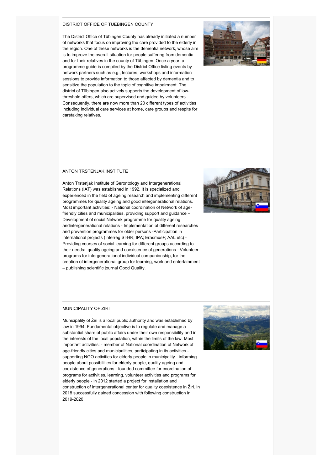## DISTRICT OFFICE OF TUEBINGEN COUNTY

The District Office of Tübingen County has already initiated a number of networks that focus on improving the care provided to the elderly in the region. One of these networks is the dementia network, whose aim is to improve the overall situation for people suffering from dementia and for their relatives in the county of Tübingen. Once a year, a programme guide is compiled by the District Office listing events by network partners such as e.g., lectures, workshops and information sessions to provide information to those affected by dementia and to sensitize the population to the topic of cognitive impairment. The district of Tübingen also actively supports the development of lowthreshold offers, which are supervised and guided by volunteers. Consequently, there are now more than 20 different types of activities including individual care services at home, care groups and respite for caretaking relatives.



# ANTON TRSTENJAK INSTITUTE

Anton Trstenjak Institute of Gerontology and Intergenerational Relations (IAT) was established in 1992. It is specialized and experienced in the field of ageing research and implementing different programmes for quality ageing and good intergenerational relations. Most important activities: - National coordination of Network of agefriendly cities and municipalities, providing support and guidance – Development of social Network programme for quality ageing andintergenerational relations - Implementation of different researches and prevention programmes for older persons -Participation in international projects (Interreg SI-HR; IPA; Erasmus+; AAL etc) - Providing courses of social learning for different groups according to their needs: quality ageing and coexistence of generations - Volunteer programs for intergenerational individual companionship, for the creation of intergenerational group for learning, work and entertainment – publishing scientific journal Good Quality.



#### MUNICIPALITY OF ZIRI

Municipality of Žiri is a local public authority and was established by law in 1994. Fundamental objective is to regulate and manage a substantial share of public affairs under their own responsibility and in the interests of the local population, within the limits of the law. Most important activities: - member of National coordination of Network of age-friendly cities and municipalities, participating in its activities supporting NGO activities for elderly people in municipality - informing people about possibilities for elderly people, quality ageing and coexistence of generations - founded committee for coordination of programs for activities, learning, volunteer activities and programs for elderly people - in 2012 started a project for installation and construction of intergenerational center for quality coexistence in Žiri. In 2018 successfully gained concession with following construction in 2019-2020.

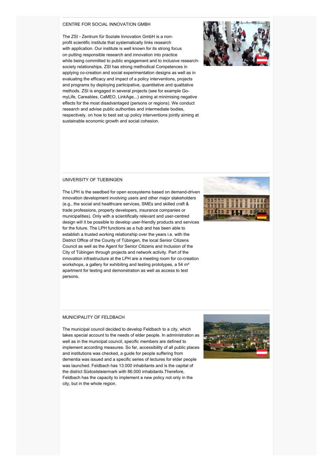### CENTRE FOR SOCIAL INNOVATION GMBH

The ZSI - Zentrum für Soziale Innovation GmbH is a nonprofit scientific institute that systematically links research with application. Our institute is well known for its strong focus on putting responsible research and innovation into practice while being committed to public engagement and to inclusive researchsociety relationships. ZSI has strong methodical Competences in applying co-creation and social experimentation designs as well as in evaluating the efficacy and impact of a policy interventions, projects and programs by deploying participative, quantitative and qualitative methods. ZSI is engaged in several projects (see for example GomyLife, Careables, CaMEO, LinkAge,..) aiming at minimising negative effects for the most disadvantaged (persons or regions). We conduct research and advise public authorities and intermediate bodies, respectively, on how to best set up policy interventions jointly aiming at sustainable economic growth and social cohesion.



# UNIVERSITY OF TUEBINGEN



innovation development involving users and other major stakeholders (e.g., the social and healthcare services, SMEs and skilled craft & trade professions, property developers, insurance companies or municipalities). Only with a scientifically relevant and user-centred design will it be possible to develop user-friendly products and services for the future. The LPH functions as a hub and has been able to establish a trusted working relationship over the years i.e. with the District Office of the County of Tübingen, the local Senior Citizens Council as well as the Agent for Senior Citizens and Inclusion of the City of Tübingen through projects and network activity. Part of the innovation infrastructure at the LPH are a meeting room for co-creation workshops, a gallery for exhibiting and testing prototypes, a 54 m² apartment for testing and demonstration as well as access to test persons.

The LPH is the seedbed for open ecosystems based on demand-driven

## MUNICIPALITY OF FELDBACH

The municipal council decided to develop Feldbach to a city, which takes special account to the needs of elder people. In administration as well as in the municipal council, specific members are defined to implement according measures. So far, accessibility of all public places and institutions was checked, a guide for people suffering from dementia was issued and a specific series of lectures for elder people was launched. Feldbach has 13.000 inhabitants and is the capital of the district Südoststeiermark with 86.000 inhabitants.Therefore, Feldbach has the capacity to implement a new policy not only in the city, but in the whole region.